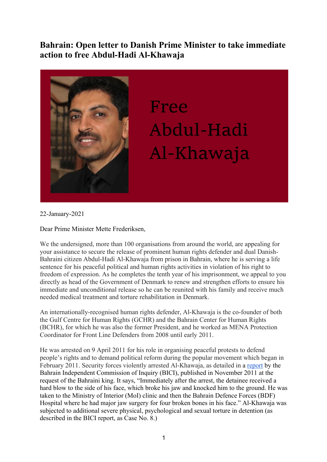## **Bahrain: Open letter to Danish Prime Minister to take immediate action to free Abdul-Hadi Al-Khawaja**



## Free Abdul-Hadi Al-Khawaja

22-January-2021

Dear Prime Minister Mette Frederiksen,

We the undersigned, more than 100 organisations from around the world, are appealing for your assistance to secure the release of prominent human rights defender and dual Danish-Bahraini citizen Abdul-Hadi Al-Khawaja from prison in Bahrain, where he is serving a life sentence for his peaceful political and human rights activities in violation of his right to freedom of expression. As he completes the tenth year of his imprisonment, we appeal to you directly as head of the Government of Denmark to renew and strengthen efforts to ensure his immediate and unconditional release so he can be reunited with his family and receive much needed medical treatment and torture rehabilitation in Denmark.

An internationally-recognised human rights defender, Al-Khawaja is the co-founder of both the Gulf Centre for Human Rights (GCHR) and the Bahrain Center for Human Rights (BCHR), for which he was also the former President, and he worked as MENA Protection Coordinator for Front Line Defenders from 2008 until early 2011.

He was arrested on 9 April 2011 for his role in organising peaceful protests to defend people's rights and to demand political reform during the popular movement which began in February 2011. Security forces violently arrested Al-Khawaja, as detailed in a report by the Bahrain Independent Commission of Inquiry (BICI), published in November 2011 at the request of the Bahraini king. It says, "Immediately after the arrest, the detainee received a hard blow to the side of his face, which broke his jaw and knocked him to the ground. He was taken to the Ministry of Interior (MoI) clinic and then the Bahrain Defence Forces (BDF) Hospital where he had major jaw surgery for four broken bones in his face." Al-Khawaja was subjected to additional severe physical, psychological and sexual torture in detention (as described in the BICI report, as Case No. 8.)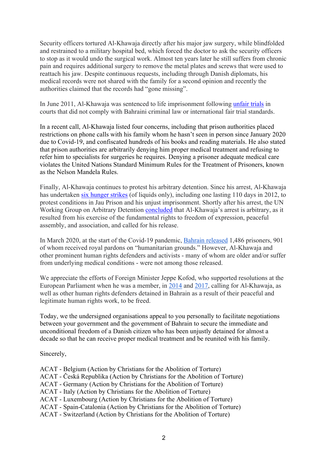Security officers tortured Al-Khawaja directly after his major jaw surgery, while blindfolded and restrained to a military hospital bed, which forced the doctor to ask the security officers to stop as it would undo the surgical work. Almost ten years later he still suffers from chronic pain and requires additional surgery to remove the metal plates and screws that were used to reattach his jaw. Despite continuous requests, including through Danish diplomats, his medical records were not shared with the family for a second opinion and recently the authorities claimed that the records had "gone missing".

In June 2011, Al-Khawaja was sentenced to life imprisonment following unfair trials in courts that did not comply with Bahraini criminal law or international fair trial standards.

In a recent call, Al-Khawaja listed four concerns, including that prison authorities placed restrictions on phone calls with his family whom he hasn't seen in person since January 2020 due to Covid-19, and confiscated hundreds of his books and reading materials. He also stated that prison authorities are arbitrarily denying him proper medical treatment and refusing to refer him to specialists for surgeries he requires. Denying a prisoner adequate medical care violates the United Nations Standard Minimum Rules for the Treatment of Prisoners, known as the Nelson Mandela Rules.

Finally, Al-Khawaja continues to protest his arbitrary detention. Since his arrest, Al-Khawaja has undertaken six hunger strikes (of liquids only), including one lasting 110 days in 2012, to protest conditions in Jau Prison and his unjust imprisonment. Shortly after his arrest, the UN Working Group on Arbitrary Detention **concluded** that Al-Khawaja's arrest is arbitrary, as it resulted from his exercise of the fundamental rights to freedom of expression, peaceful assembly, and association, and called for his release.

In March 2020, at the start of the Covid-19 pandemic, Bahrain released 1,486 prisoners, 901 of whom received royal pardons on "humanitarian grounds." However, Al-Khawaja and other prominent human rights defenders and activists - many of whom are older and/or suffer from underlying medical conditions - were not among those released.

We appreciate the efforts of Foreign Minister Jeppe Kofod, who supported resolutions at the European Parliament when he was a member, in 2014 and 2017, calling for Al-Khawaja, as well as other human rights defenders detained in Bahrain as a result of their peaceful and legitimate human rights work, to be freed.

Today, we the undersigned organisations appeal to you personally to facilitate negotiations between your government and the government of Bahrain to secure the immediate and unconditional freedom of a Danish citizen who has been unjustly detained for almost a decade so that he can receive proper medical treatment and be reunited with his family.

Sincerely,

- ACAT Belgium (Action by Christians for the Abolition of Torture)
- ACAT Česká Republika (Action by Christians for the Abolition of Torture)
- ACAT Germany (Action by Christians for the Abolition of Torture)
- ACAT Italy (Action by Christians for the Abolition of Torture)
- ACAT Luxembourg (Action by Christians for the Abolition of Torture)
- ACAT Spain-Catalonia (Action by Christians for the Abolition of Torture)
- ACAT Switzerland (Action by Christians for the Abolition of Torture)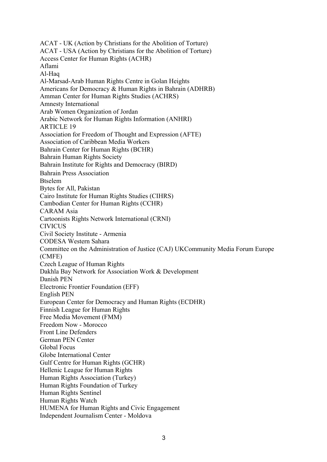ACAT - UK (Action by Christians for the Abolition of Torture) ACAT - USA (Action by Christians for the Abolition of Torture) Access Center for Human Rights (ACHR) Aflami Al-Haq Al-Marsad-Arab Human Rights Centre in Golan Heights Americans for Democracy & Human Rights in Bahrain (ADHRB) Amman Center for Human Rights Studies (ACHRS) Amnesty International Arab Women Organization of Jordan Arabic Network for Human Rights Information (ANHRI) ARTICLE 19 Association for Freedom of Thought and Expression (AFTE) Association of Caribbean Media Workers Bahrain Center for Human Rights (BCHR) Bahrain Human Rights Society Bahrain Institute for Rights and Democracy (BIRD) Bahrain Press Association Btselem Bytes for All, Pakistan Cairo Institute for Human Rights Studies (CIHRS) Cambodian Center for Human Rights (CCHR) CARAM Asia Cartoonists Rights Network International (CRNI) CIVICUS Civil Society Institute - Armenia CODESA Western Sahara Committee on the Administration of Justice (CAJ) UKCommunity Media Forum Europe (CMFE) Czech League of Human Rights Dakhla Bay Network for Association Work & Development Danish PEN Electronic Frontier Foundation (EFF) English PEN European Center for Democracy and Human Rights (ECDHR) Finnish League for Human Rights Free Media Movement (FMM) Freedom Now - Morocco Front Line Defenders German PEN Center Global Focus Globe International Center Gulf Centre for Human Rights (GCHR) Hellenic League for Human Rights Human Rights Association (Turkey) Human Rights Foundation of Turkey Human Rights Sentinel Human Rights Watch HUMENA for Human Rights and Civic Engagement Independent Journalism Center - Moldova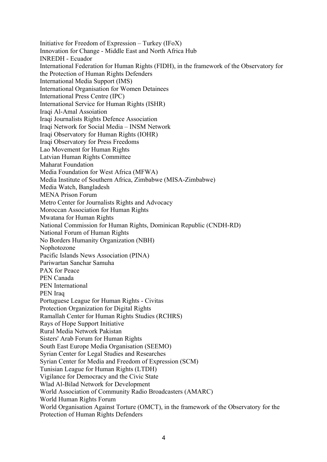Initiative for Freedom of Expression – Turkey (IFoX) Innovation for Change - Middle East and North Africa Hub INREDH - Ecuador International Federation for Human Rights (FIDH), in the framework of the Observatory for the Protection of Human Rights Defenders International Media Support (IMS) International Organisation for Women Detainees International Press Centre (IPC) International Service for Human Rights (ISHR) Iraqi Al-Amal Assoiation Iraqi Journalists Rights Defence Association Iraqi Network for Social Media – INSM Network Iraqi Observatory for Human Rights (IOHR) Iraqi Observatory for Press Freedoms Lao Movement for Human Rights Latvian Human Rights Committee Maharat Foundation Media Foundation for West Africa (MFWA) Media Institute of Southern Africa, Zimbabwe (MISA-Zimbabwe) Media Watch, Bangladesh MENA Prison Forum Metro Center for Journalists Rights and Advocacy Moroccan Association for Human Rights Mwatana for Human Rights National Commission for Human Rights, Dominican Republic (CNDH-RD) National Forum of Human Rights No Borders Humanity Organization (NBH) Nophotozone Pacific Islands News Association (PINA) Pariwartan Sanchar Samuha PAX for Peace PEN Canada PEN International PEN Iraq Portuguese League for Human Rights - Civitas Protection Organization for Digital Rights Ramallah Center for Human Rights Studies (RCHRS) Rays of Hope Support Initiative Rural Media Network Pakistan Sisters' Arab Forum for Human Rights South East Europe Media Organisation (SEEMO) Syrian Center for Legal Studies and Researches Syrian Center for Media and Freedom of Expression (SCM) Tunisian League for Human Rights (LTDH) Vigilance for Democracy and the Civic State Wlad Al-Bilad Network for Development World Association of Community Radio Broadcasters (AMARC) World Human Rights Forum World Organisation Against Torture (OMCT), in the framework of the Observatory for the Protection of Human Rights Defenders